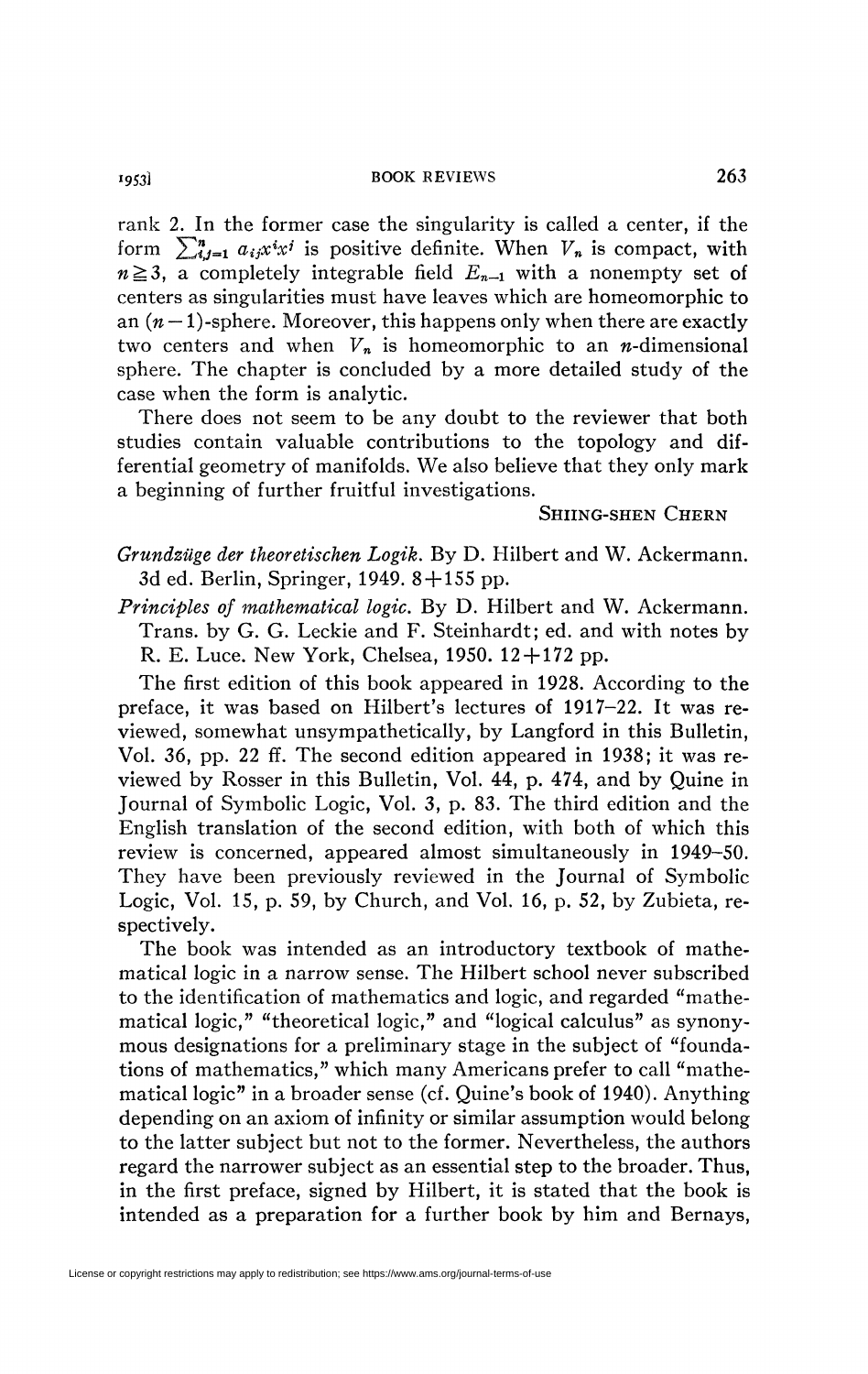rank 2. In the former case the singularity is called a center, if the form  $\sum_{i,j=1}^n a_{ij} x^i x^j$  is positive definite. When  $V_n$  is compact, with  $n \geq 3$ , a completely integrable field  $E_{n-1}$  with a nonempty set of centers as singularities must have leaves which are homeomorphic to an  $(n-1)$ -sphere. Moreover, this happens only when there are exactly two centers and when  $V_n$  is homeomorphic to an *n*-dimensional sphere. The chapter is concluded by a more detailed study of the case when the form is analytic.

There does not seem to be any doubt to the reviewer that both studies contain valuable contributions to the topology and differential geometry of manifolds. We also believe that they only mark a beginning of further fruitful investigations.

## SHIING-SHEN CHERN

*Grundzüge der theoretischen Logik.* By D. Hilbert and W. Ackermann. 3d ed. Berlin, Springer, 1949. 8 + 155 pp.

*Principles of mathematical logic.* By D. Hilbert and W. Ackermann. Trans, by G. G. Leckie and F. Steinhardt; ed. and with notes by R. E. Luce. New York, Chelsea,  $1950. 12 + 172$  pp.

The first edition of this book appeared in 1928. According to the preface, it was based on Hubert's lectures of 1917-22. It was reviewed, somewhat unsympathetically, by Langford in this Bulletin, Vol. *36,* pp. 22 ff. The second edition appeared in 1938; it was reviewed by Rosser in this Bulletin, Vol. 44, p. 474, and by Quine in Journal of Symbolic Logic, Vol. 3, p. 83. The third edition and the English translation of the second edition, with both of which this review is concerned, appeared almost simultaneously in 1949-50. They have been previously reviewed in the Journal of Symbolic Logic, Vol. 15, p. 59, by Church, and Vol. 16, p. 52, by Zubieta, respectively.

The book was intended as an introductory textbook of mathematical logic in a narrow sense. The Hilbert school never subscribed to the identification of mathematics and logic, and regarded "mathematical logic," "theoretical logic," and "logical calculus" as synonymous designations for a preliminary stage in the subject of "foundations of mathematics," which many Americans prefer to call "mathematical logic" in a broader sense (cf. Quine's book of 1940). Anything depending on an axiom of infinity or similar assumption would belong to the latter subject but not to the former. Nevertheless, the authors regard the narrower subject as an essential step to the broader. Thus, in the first preface, signed by Hilbert, it is stated that the book is intended as a preparation for a further book by him and Bernays,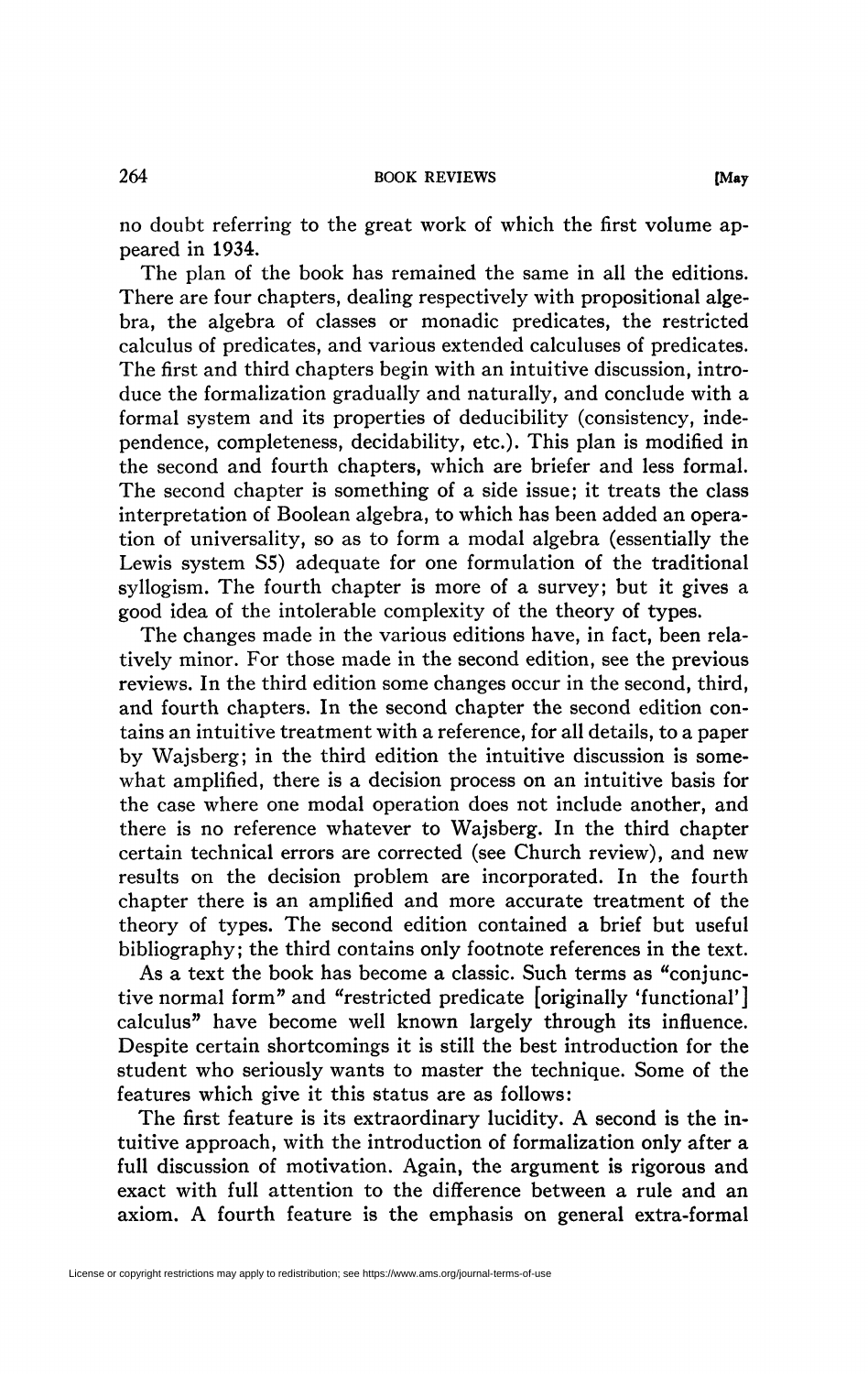no doubt referring to the great work of which the first volume appeared in 1934.

The plan of the book has remained the same in all the editions. There are four chapters, dealing respectively with propositional algebra, the algebra of classes or monadic predicates, the restricted calculus of predicates, and various extended calculuses of predicates. The first and third chapters begin with an intuitive discussion, introduce the formalization gradually and naturally, and conclude with a formal system and its properties of deducibility (consistency, independence, completeness, decidability, etc.). This plan is modified in the second and fourth chapters, which are briefer and less formal. The second chapter is something of a side issue; it treats the class interpretation of Boolean algebra, to which has been added an operation of universality, so as to form a modal algebra (essentially the Lewis system S5) adequate for one formulation of the traditional syllogism. The fourth chapter is more of a survey; but it gives a good idea of the intolerable complexity of the theory of types.

The changes made in the various editions have, in fact, been relatively minor. For those made in the second edition, see the previous reviews. In the third edition some changes occur in the second, third, and fourth chapters. In the second chapter the second edition contains an intuitive treatment with a reference, for all details, to a paper by Wajsberg; in the third edition the intuitive discussion is somewhat amplified, there is a decision process on an intuitive basis for the case where one modal operation does not include another, and there is no reference whatever to Wajsberg. In the third chapter certain technical errors are corrected (see Church review), and new results on the decision problem are incorporated. In the fourth chapter there is an amplified and more accurate treatment of the theory of types. The second edition contained a brief but useful bibliography; the third contains only footnote references in the text.

As a text the book has become a classic. Such terms as "conjunctive normal form" and "restricted predicate [originally 'functional'] calculus'' have become well known largely through its influence. Despite certain shortcomings it is still the best introduction for the student who seriously wants to master the technique. Some of the features which give it this status are as follows:

The first feature is its extraordinary lucidity. A second is the intuitive approach, with the introduction of formalization only after a full discussion of motivation. Again, the argument is rigorous and exact with full attention to the difference between a rule and an axiom. A fourth feature is the emphasis on general extra-formal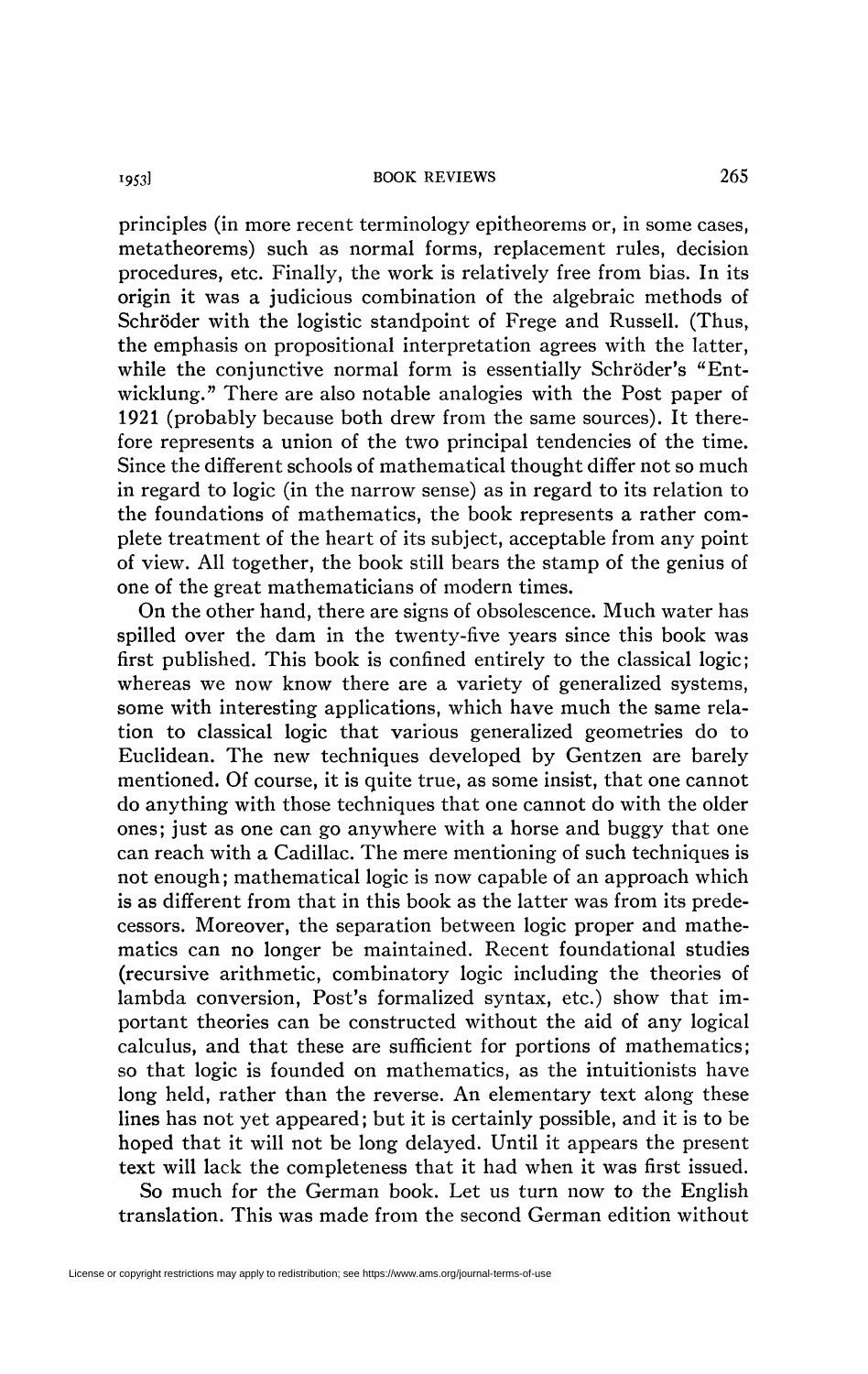principles (in more recent terminology epitheorems or, in some cases, metatheorems) such as normal forms, replacement rules, decision procedures, etc. Finally, the work is relatively free from bias. In its origin it was a judicious combination of the algebraic methods of Schröder with the logistic standpoint of Frege and Russell. (Thus, the emphasis on propositional interpretation agrees with the latter, while the conjunctive normal form is essentially Schröder's "Entwicklung." There are also notable analogies with the Post paper of 1921 (probably because both drew from the same sources). It therefore represents a union of the two principal tendencies of the time. Since the different schools of mathematical thought differ not so much in regard to logic (in the narrow sense) as in regard to its relation to the foundations of mathematics, the book represents a rather complete treatment of the heart of its subject, acceptable from any point of view. All together, the book still bears the stamp of the genius of one of the great mathematicians of modern times.

On the other hand, there are signs of obsolescence. Much water has spilled over the dam in the twenty-five years since this book was first published. This book is confined entirely to the classical logic; whereas we now know there are a variety of generalized systems, some with interesting applications, which have much the same relation to classical logic that various generalized geometries do to Euclidean. The new techniques developed by Gentzen are barely mentioned. Of course, it is quite true, as some insist, that one cannot do anything with those techniques that one cannot do with the older ones; just as one can go anywhere with a horse and buggy that one can reach with a Cadillac. The mere mentioning of such techniques is not enough; mathematical logic is now capable of an approach which is as different from that in this book as the latter was from its predecessors. Moreover, the separation between logic proper and mathematics can no longer be maintained. Recent foundational studies (recursive arithmetic, combinatory logic including the theories of lambda conversion, Post's formalized syntax, etc.) show that important theories can be constructed without the aid of any logical calculus, and that these are sufficient for portions of mathematics; so that logic is founded on mathematics, as the intuitionists have long held, rather than the reverse. An elementary text along these lines has not yet appeared; but it is certainly possible, and it is to be hoped that it will not be long delayed. Until it appears the present text will lack the completeness that it had when it was first issued.

So much for the German book. Let us turn now *to* the English translation. This was made from the second German edition without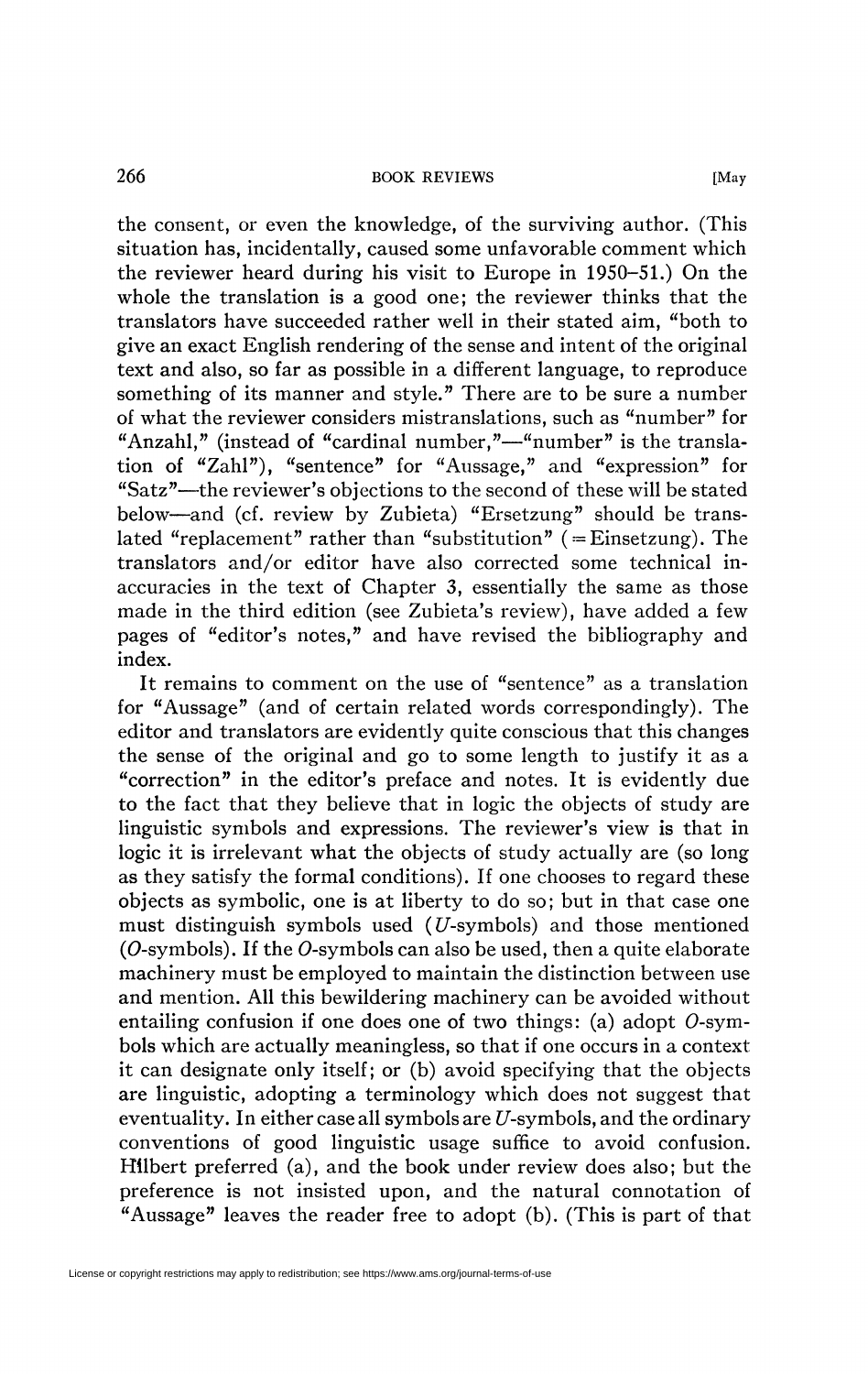the consent, or even the knowledge, of the surviving author. (This situation has, incidentally, caused some unfavorable comment which the reviewer heard during his visit to Europe in 1950-51.) On the whole the translation is a good one; the reviewer thinks that the translators have succeeded rather well in their stated aim, "both to give an exact English rendering of the sense and intent of the original text and also, so far as possible in a different language, to reproduce something of its manner and style." There are to be sure a number of what the reviewer considers mistranslations, such as "number" for "Anzahl," (instead of "cardinal number,"—"number" is the translation of "Zahl"), "sentence" for "Aussage," and "expression" for "Satz"—the reviewer's objections to the second of these will be stated below—and (cf. review by Zubieta) "Ersetzung" should be translated "replacement" rather than "substitution" ( $=$ Einsetzung). The translators and/or editor have also corrected some technical inaccuracies in the text of Chapter 3, essentially the same as those made in the third edition (see Zubieta's review), have added a few pages of "editor's notes," and have revised the bibliography and index.

It remains to comment on the use of "sentence" as a translation for "Aussage" (and of certain related words correspondingly). The editor and translators are evidently quite conscious that this changes the sense of the original and go to some length to justify it as a "correction" in the editor's preface and notes. It is evidently due to the fact that they believe that in logic the objects of study are linguistic symbols and expressions. The reviewer's view is that in logic it is irrelevant what the objects of study actually are (so long as they satisfy the formal conditions). If one chooses to regard these objects as symbolic, one is at liberty to do so; but in that case one must distinguish symbols used  $(U\text{-symbol})$  and those mentioned (O-symbols). If the O-symbols can also be used, then a quite elaborate machinery must be employed to maintain the distinction between use and mention. All this bewildering machinery can be avoided without entailing confusion if one does one of two things: (a) adopt  $O$ -symbols which are actually meaningless, so that if one occurs in a context it can designate only itself; or (b) avoid specifying that the objects are linguistic, adopting a terminology which does not suggest that eventuality. In either case all symbols are  $U$ -symbols, and the ordinary conventions of good linguistic usage suffice to avoid confusion. Hllbert preferred (a), and the book under review does also; but the preference is not insisted upon, and the natural connotation of "Aussage" leaves the reader free to adopt (b). (This is part of that